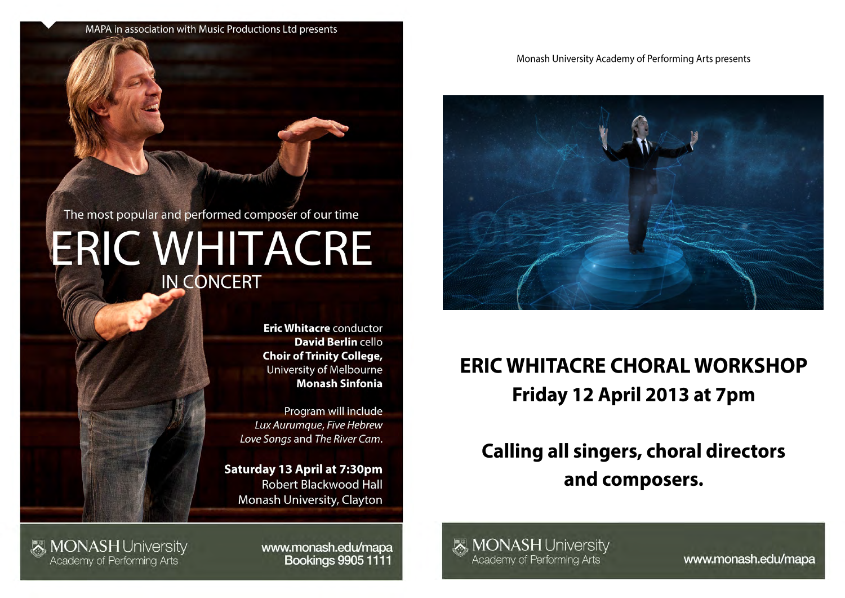#### Monash University Academy of Performing Arts presents



# **ERIC WHITACRE CHORAL WORKSHOP** Friday 12 April 2013 at 7pm

## **Calling all singers, choral directors** and composers.



www.monash.edu/mapa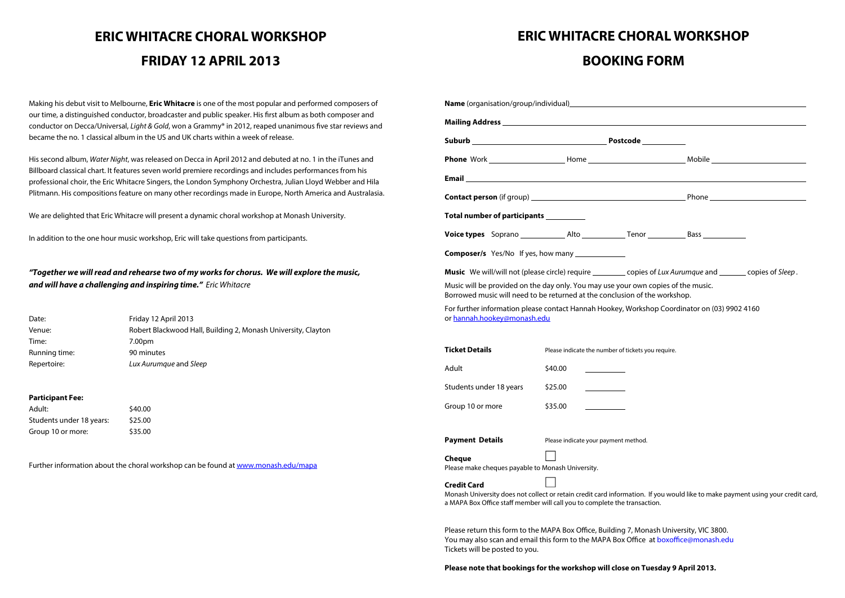### **ERIC WHITACRE CHORAL WORKSHOP FRIDAY 12 APRIL 2013**

Making his debut visit to Melbourne, **Eric Whitacre** is one of the most popular and performed composers of our time, a distinguished conductor, broadcaster and public speaker. His first album as both composer and conductor on Decca/Universal, Light & Gold, won a Grammy® in 2012, reaped unanimous five star reviews and became the no. 1 classical album in the US and UK charts within a week of release.

His second album, Water Night, was released on Decca in April 2012 and debuted at no. 1 in the iTunes and Billboard classical chart. It features seven world premiere recordings and includes performances from his professional choir, the Eric Whitacre Singers, the London Symphony Orchestra, Julian Lloyd Webber and Hila Plitmann. His compositions feature on many other recordings made in Europe, North America and Australasia.

We are delighted that Eric Whitacre will present a dynamic choral workshop at Monash University.

In addition to the one hour music workshop, Eric will take questions from participants.

#### **"Together we will read and rehearse two of my works for chorus. We will explore the music, and will have a challenging and inspiring time."** Eric Whitacre

| Date:         | Friday 12 April 2013                                          |
|---------------|---------------------------------------------------------------|
| Venue:        | Robert Blackwood Hall, Building 2, Monash University, Clayton |
| Time:         | 7.00pm                                                        |
| Running time: | 90 minutes                                                    |
| Repertoire:   | Lux Aurumque and Sleep                                        |

#### **Participant Fee:**

| Adult:                   | \$40.00 |
|--------------------------|---------|
| Students under 18 years: | \$25.00 |
| Group 10 or more:        | \$35.00 |

Further information about the choral workshop can be found at www.monash.edu/mapa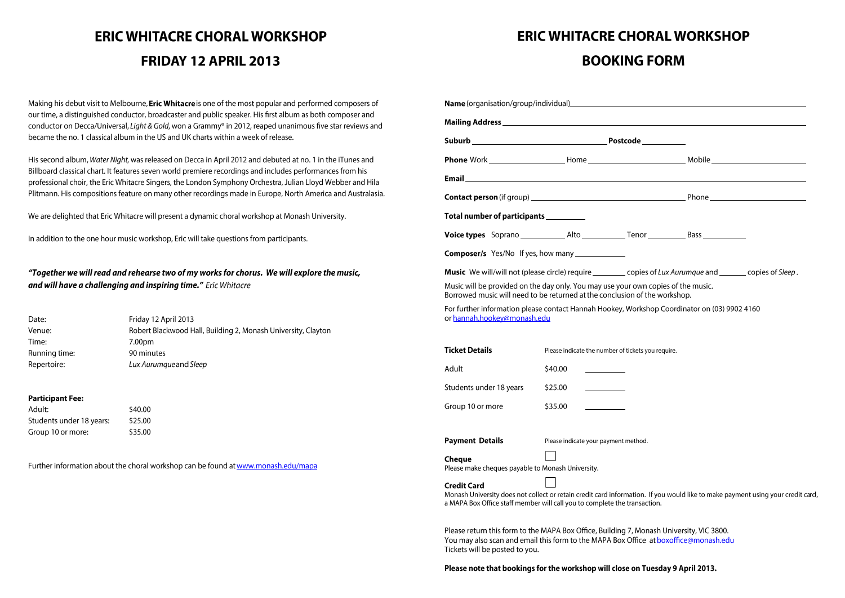### **ERIC WHITACRE CHORAL WORKSHOP BOOKING FORM**

| Suburb Postcode Postcode                                                                                                                                                                                                                                                                                                                                                                                                                                                 |                                                    |                                       |  |
|--------------------------------------------------------------------------------------------------------------------------------------------------------------------------------------------------------------------------------------------------------------------------------------------------------------------------------------------------------------------------------------------------------------------------------------------------------------------------|----------------------------------------------------|---------------------------------------|--|
|                                                                                                                                                                                                                                                                                                                                                                                                                                                                          |                                                    |                                       |  |
|                                                                                                                                                                                                                                                                                                                                                                                                                                                                          |                                                    |                                       |  |
|                                                                                                                                                                                                                                                                                                                                                                                                                                                                          |                                                    |                                       |  |
| Total number of participants ___________                                                                                                                                                                                                                                                                                                                                                                                                                                 |                                                    |                                       |  |
|                                                                                                                                                                                                                                                                                                                                                                                                                                                                          |                                                    |                                       |  |
| <b>Composer/s</b> Yes/No If yes, how many _______________                                                                                                                                                                                                                                                                                                                                                                                                                |                                                    |                                       |  |
| Music We will/will not (please circle) require __________ copies of Lux Aurumque and _______ copies of Sleep.                                                                                                                                                                                                                                                                                                                                                            |                                                    |                                       |  |
|                                                                                                                                                                                                                                                                                                                                                                                                                                                                          |                                                    |                                       |  |
|                                                                                                                                                                                                                                                                                                                                                                                                                                                                          |                                                    |                                       |  |
|                                                                                                                                                                                                                                                                                                                                                                                                                                                                          |                                                    |                                       |  |
|                                                                                                                                                                                                                                                                                                                                                                                                                                                                          | Please indicate the number of tickets you require. |                                       |  |
|                                                                                                                                                                                                                                                                                                                                                                                                                                                                          | \$40.00                                            | <u> a shekara ta 1999 a shekara t</u> |  |
|                                                                                                                                                                                                                                                                                                                                                                                                                                                                          | \$25.00                                            |                                       |  |
|                                                                                                                                                                                                                                                                                                                                                                                                                                                                          | \$35.00                                            |                                       |  |
|                                                                                                                                                                                                                                                                                                                                                                                                                                                                          | Please indicate your payment method.               |                                       |  |
| Music will be provided on the day only. You may use your own copies of the music.<br>Borrowed music will need to be returned at the conclusion of the workshop.<br>For further information please contact Hannah Hookey, Workshop Coordinator on (03) 9902 4160<br>or hannah.hookey@monash.edu<br><b>Ticket Details</b><br>Adult<br>Students under 18 years<br>Group 10 or more<br><b>Payment Details</b><br>Cheque<br>Please make cheques payable to Monash University. |                                                    |                                       |  |

Please return this form to the MAPA Box Office, Building 7, Monash University, VIC 3800. You may also scan and email this form to the MAPA Box Office at boxoffice@monash.edu Tickets will be posted to you.

#### Please note that bookings for the workshop will close on Tuesday 9 April 2013.